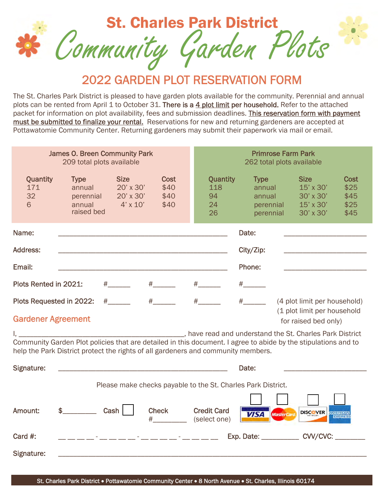

2022 GARDEN PLOT RESERVATION FORM

The St. Charles Park District is pleased to have garden plots available for the community. Perennial and annual plots can be rented from April 1 to October 31. There is a 4 plot limit per household. Refer to the attached packet for information on plot availability, fees and submission deadlines. This reservation form with payment must be submitted to finalize your rental. Reservations for new and returning gardeners are accepted at Pottawatomie Community Center. Returning gardeners may submit their paperwork via mail or email.

|                                                                                                                                                                                               | <b>James O. Breen Community Park</b><br>209 total plots available                                                                                                                                   |                                                          |                              | <b>Primrose Farm Park</b><br>262 total plots available |                                                           |                                                                  |                                             |  |  |  |  |  |  |
|-----------------------------------------------------------------------------------------------------------------------------------------------------------------------------------------------|-----------------------------------------------------------------------------------------------------------------------------------------------------------------------------------------------------|----------------------------------------------------------|------------------------------|--------------------------------------------------------|-----------------------------------------------------------|------------------------------------------------------------------|---------------------------------------------|--|--|--|--|--|--|
| Quantity<br>171<br>32<br>6                                                                                                                                                                    | <b>Type</b><br>annual<br>perennial<br>annual<br>raised bed                                                                                                                                          | <b>Size</b><br>20' x 30'<br>20' x 30'<br>$4' \times 10'$ | Cost<br>\$40<br>\$40<br>\$40 | Quantity<br>118<br>94<br>24<br>26                      | <b>Type</b><br>annual<br>annual<br>perennial<br>perennial | <b>Size</b><br>15' x 30'<br>30' x 30'<br>15' x 30'<br>30' x 30'  | <b>Cost</b><br>\$25<br>\$45<br>\$25<br>\$45 |  |  |  |  |  |  |
| Name:                                                                                                                                                                                         |                                                                                                                                                                                                     |                                                          |                              |                                                        | Date:                                                     |                                                                  |                                             |  |  |  |  |  |  |
| Address:<br>City/Zip:                                                                                                                                                                         |                                                                                                                                                                                                     |                                                          |                              |                                                        |                                                           |                                                                  |                                             |  |  |  |  |  |  |
| Email:                                                                                                                                                                                        |                                                                                                                                                                                                     |                                                          |                              | Phone:                                                 |                                                           |                                                                  |                                             |  |  |  |  |  |  |
| Plots Rented in 2021:                                                                                                                                                                         |                                                                                                                                                                                                     | $\#$ and the set of $\#$                                 | $\#$ and $\#$                | $#$ and $*$                                            | $\#$ and $\#$                                             |                                                                  |                                             |  |  |  |  |  |  |
| $\#$ and $\#$<br>$#$ and $*$<br>Plots Requested in 2022:<br>$\#$ and $\#$<br>(4 plot limit per household)<br>(1 plot limit per household<br><b>Gardener Agreement</b><br>for raised bed only) |                                                                                                                                                                                                     |                                                          |                              |                                                        |                                                           |                                                                  |                                             |  |  |  |  |  |  |
|                                                                                                                                                                                               | Community Garden Plot policies that are detailed in this document. I agree to abide by the stipulations and to<br>help the Park District protect the rights of all gardeners and community members. |                                                          |                              |                                                        |                                                           | ________, have read and understand the St. Charles Park District |                                             |  |  |  |  |  |  |
| Signature:                                                                                                                                                                                    |                                                                                                                                                                                                     |                                                          |                              |                                                        | Date:                                                     |                                                                  |                                             |  |  |  |  |  |  |
| Please make checks payable to the St. Charles Park District.                                                                                                                                  |                                                                                                                                                                                                     |                                                          |                              |                                                        |                                                           |                                                                  |                                             |  |  |  |  |  |  |
| Amount:                                                                                                                                                                                       | $\sim$                                                                                                                                                                                              | $Cash \mid$                                              | <b>Check</b>                 | <b>Credit Card</b><br>(select one)                     | <b>VISA</b>                                               | <b>DISCOVER</b><br><b>MasterCard</b>                             |                                             |  |  |  |  |  |  |
| Card $#$ :                                                                                                                                                                                    |                                                                                                                                                                                                     |                                                          |                              |                                                        |                                                           | Exp. Date: CVV/CVC:                                              |                                             |  |  |  |  |  |  |
| Signature:                                                                                                                                                                                    |                                                                                                                                                                                                     |                                                          |                              |                                                        |                                                           |                                                                  |                                             |  |  |  |  |  |  |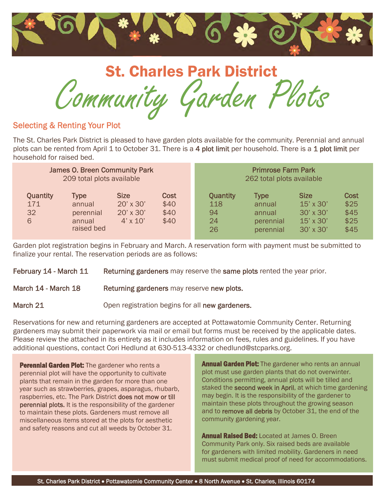

Community Garden Plots St. Charles Park District

# Selecting & Renting Your Plot

The St. Charles Park District is pleased to have garden plots available for the community. Perennial and annual plots can be rented from April 1 to October 31. There is a 4 plot limit per household. There is a 1 plot limit per household for raised bed.

| <b>James O. Breen Community Park</b> |                                                            |                                                                 |                                     | <b>Primrose Farm Park</b>                |                                                           |                                                                                             |                                             |  |
|--------------------------------------|------------------------------------------------------------|-----------------------------------------------------------------|-------------------------------------|------------------------------------------|-----------------------------------------------------------|---------------------------------------------------------------------------------------------|---------------------------------------------|--|
| 209 total plots available            |                                                            |                                                                 |                                     | 262 total plots available                |                                                           |                                                                                             |                                             |  |
| <b>Quantity</b><br>171<br>32<br>6    | <b>Type</b><br>annual<br>perennial<br>annual<br>raised bed | <b>Size</b><br>$20' \times 30'$<br>20' x 30'<br>$4' \times 10'$ | <b>Cost</b><br>\$40<br>\$40<br>\$40 | <b>Quantity</b><br>118<br>94<br>24<br>26 | <b>Type</b><br>annual<br>annual<br>perennial<br>perennial | <b>Size</b><br>$15' \times 30'$<br>$30' \times 30'$<br>$15' \times 30'$<br>$30' \times 30'$ | <b>Cost</b><br>\$25<br>\$45<br>\$25<br>\$45 |  |

Garden plot registration begins in February and March. A reservation form with payment must be submitted to finalize your rental. The reservation periods are as follows:

February 14 - March 11 Returning gardeners may reserve the same plots rented the year prior.

#### March 14 - March 18 Returning gardeners may reserve new plots.

March 21 **Open registration begins for all new gardeners.** 

Reservations for new and returning gardeners are accepted at Pottawatomie Community Center. Returning gardeners may submit their paperwork via mail or email but forms must be received by the applicable dates. Please review the attached in its entirety as it includes information on fees, rules and guidelines. If you have additional questions, contact Cori Hedlund at 630-513-4332 or chedlund@stcparks.org.

**Perennial Garden Plot:** The gardener who rents a perennial plot will have the opportunity to cultivate plants that remain in the garden for more than one year such as strawberries, grapes, asparagus, rhubarb, raspberries, etc. The Park District does not mow or till perennial plots. It is the responsibility of the gardener to maintain these plots. Gardeners must remove all miscellaneous items stored at the plots for aesthetic and safety reasons and cut all weeds by October 31.

**Annual Garden Plot:** The gardener who rents an annual plot must use garden plants that do not overwinter. Conditions permitting, annual plots will be tilled and staked the **second week in April**, at which time gardening may begin. It is the responsibility of the gardener to maintain these plots throughout the growing season and to remove all debris by October 31, the end of the community gardening year.

**Annual Raised Bed:** Located at James O. Breen Community Park only. Six raised beds are available for gardeners with limited mobility. Gardeners in need must submit medical proof of need for accommodations.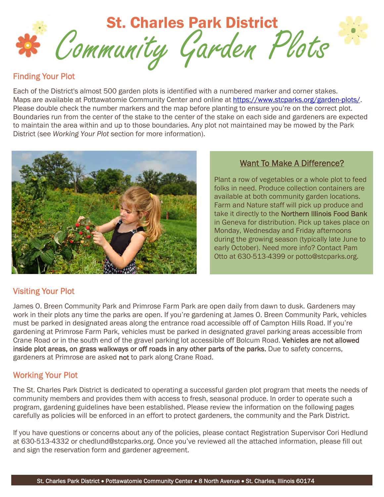

#### Finding Your Plot

Each of the District's almost 500 garden plots is identified with a numbered marker and corner stakes. Maps are available at Pottawatomie Community Center and online at https://www.stcparks.org/garden-plots/. Please double check the number markers and the map before planting to ensure you're on the correct plot. Boundaries run from the center of the stake to the center of the stake on each side and gardeners are expected to maintain the area within and up to those boundaries. Any plot not maintained may be mowed by the Park District (see *Working Your Plot* section for more information).



## Want To Make A Difference?

Plant a row of vegetables or a whole plot to feed folks in need. Produce collection containers are available at both community garden locations. Farm and Nature staff will pick up produce and take it directly to the Northern Illinois Food Bank in Geneva for distribution. Pick up takes place on Monday, Wednesday and Friday afternoons during the growing season (typically late June to early October). Need more info? Contact Pam Otto at 630-513-4399 or potto@stcparks.org.

### Visiting Your Plot

James O. Breen Community Park and Primrose Farm Park are open daily from dawn to dusk. Gardeners may work in their plots any time the parks are open. If you're gardening at James O. Breen Community Park, vehicles must be parked in designated areas along the entrance road accessible off of Campton Hills Road. If you're gardening at Primrose Farm Park, vehicles must be parked in designated gravel parking areas accessible from Crane Road or in the south end of the gravel parking lot accessible off Bolcum Road. Vehicles are not allowed inside plot areas, on grass walkways or off roads in any other parts of the parks. Due to safety concerns, gardeners at Primrose are asked not to park along Crane Road.

# Working Your Plot

The St. Charles Park District is dedicated to operating a successful garden plot program that meets the needs of community members and provides them with access to fresh, seasonal produce. In order to operate such a program, gardening guidelines have been established. Please review the information on the following pages carefully as policies will be enforced in an effort to protect gardeners, the community and the Park District.

If you have questions or concerns about any of the policies, please contact Registration Supervisor Cori Hedlund at 630-513-4332 or chedlund@stcparks.org. Once you've reviewed all the attached information, please fill out and sign the reservation form and gardener agreement.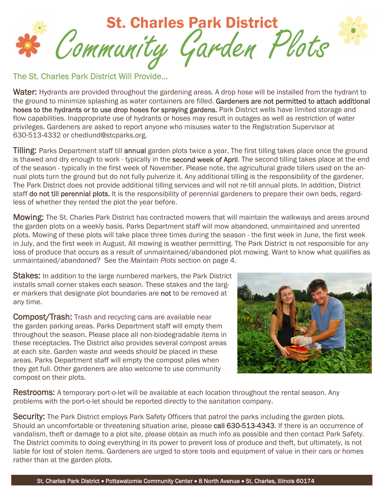

The St. Charles Park District Will Provide…

Water: Hydrants are provided throughout the gardening areas. A drop hose will be installed from the hydrant to the ground to minimize splashing as water containers are filled. Gardeners are not permitted to attach additional hoses to the hydrants or to use drop hoses for spraying gardens. Park District wells have limited storage and flow capabilities. Inappropriate use of hydrants or hoses may result in outages as well as restriction of water privileges. Gardeners are asked to report anyone who misuses water to the Registration Supervisor at 630-513-4332 or chedlund@stcparks.org.

Tilling: Parks Department staff till annual garden plots twice a year. The first tilling takes place once the ground is thawed and dry enough to work - typically in the second week of April. The second tilling takes place at the end of the season - typically in the first week of November. Please note, the agricultural grade tillers used on the annual plots turn the ground but do not fully pulverize it. Any additional tilling is the responsibility of the gardener. The Park District does not provide additional tilling services and will not re-till annual plots. In addition, District staff do not till perennial plots. It is the responsibility of perennial gardeners to prepare their own beds, regardless of whether they rented the plot the year before.

Mowing: The St. Charles Park District has contracted mowers that will maintain the walkways and areas around the garden plots on a weekly basis. Parks Department staff will mow abandoned, unmaintained and unrented plots. Mowing of these plots will take place three times during the season - the first week in June, the first week in July, and the first week in August. All mowing is weather permitting. The Park District is not responsible for any loss of produce that occurs as a result of unmaintained/abandoned plot mowing. Want to know what qualifies as unmaintained/abandoned? See the *Maintain Plots* section on page 4.

Stakes: In addition to the large numbered markers, the Park District installs small corner stakes each season. These stakes and the larger markers that designate plot boundaries are not to be removed at any time.

**Compost/Trash:** Trash and recycling cans are available near the garden parking areas. Parks Department staff will empty them throughout the season. Please place all non-biodegradable items in these receptacles. The District also provides several compost areas at each site. Garden waste and weeds should be placed in these areas. Parks Department staff will empty the compost piles when they get full. Other gardeners are also welcome to use community compost on their plots.



**Restrooms:** A temporary port-o-let will be available at each location throughout the rental season. Any problems with the port-o-let should be reported directly to the sanitation company.

Security: The Park District employs Park Safety Officers that patrol the parks including the garden plots. Should an uncomfortable or threatening situation arise, please call 630-513-4343. If there is an occurrence of vandalism, theft or damage to a plot site, please obtain as much info as possible and then contact Park Safety. The District commits to doing everything in its power to prevent loss of produce and theft, but ultimately, is not liable for lost of stolen items. Gardeners are urged to store tools and equipment of value in their cars or homes rather than at the garden plots.